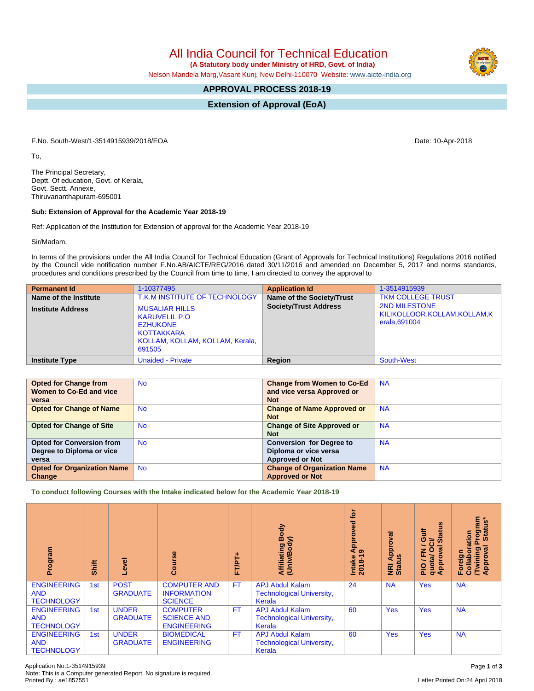All India Council for Technical Education

 **(A Statutory body under Ministry of HRD, Govt. of India)**

Nelson Mandela Marg,Vasant Kunj, New Delhi-110070 Website: [www.aicte-india.org](http://www.aicte-india.org)

## **APPROVAL PROCESS 2018-19**

**Extension of Approval (EoA)**

F.No. South-West/1-3514915939/2018/EOA Date: 10-Apr-2018

To,

The Principal Secretary, Deptt. Of education, Govt. of Kerala, Govt. Sectt. Annexe, Thiruvananthapuram-695001

## **Sub: Extension of Approval for the Academic Year 2018-19**

Ref: Application of the Institution for Extension of approval for the Academic Year 2018-19

Sir/Madam,

In terms of the provisions under the All India Council for Technical Education (Grant of Approvals for Technical Institutions) Regulations 2016 notified by the Council vide notification number F.No.AB/AICTE/REG/2016 dated 30/11/2016 and amended on December 5, 2017 and norms standards, procedures and conditions prescribed by the Council from time to time, I am directed to convey the approval to

| <b>Permanent Id</b>      | 1-10377495                                                                                                                  | <b>Application Id</b>        | 1-3514915939                                                            |
|--------------------------|-----------------------------------------------------------------------------------------------------------------------------|------------------------------|-------------------------------------------------------------------------|
| Name of the Institute    | T.K.M INSTITUTE OF TECHNOLOGY                                                                                               | Name of the Society/Trust    | <b>TKM COLLEGE TRUST</b>                                                |
| <b>Institute Address</b> | <b>MUSALIAR HILLS</b><br><b>KARUVELIL P.O</b><br><b>EZHUKONE</b><br>KOTTAKKARA<br>KOLLAM, KOLLAM, KOLLAM, Kerala,<br>691505 | <b>Society/Trust Address</b> | <b>2ND MILESTONE</b><br>KILIKOLLOOR, KOLLAM, KOLLAM, K<br>erala, 691004 |
| <b>Institute Type</b>    | <b>Unaided - Private</b>                                                                                                    | Region                       | South-West                                                              |

| <b>Opted for Change from</b>       | <b>No</b> | <b>Change from Women to Co-Ed</b>  | <b>NA</b> |
|------------------------------------|-----------|------------------------------------|-----------|
| Women to Co-Ed and vice            |           | and vice versa Approved or         |           |
| versa                              |           | <b>Not</b>                         |           |
| <b>Opted for Change of Name</b>    | <b>No</b> | <b>Change of Name Approved or</b>  | <b>NA</b> |
|                                    |           | <b>Not</b>                         |           |
| <b>Opted for Change of Site</b>    | <b>No</b> | <b>Change of Site Approved or</b>  | <b>NA</b> |
|                                    |           | <b>Not</b>                         |           |
| <b>Opted for Conversion from</b>   | <b>No</b> | <b>Conversion for Degree to</b>    | <b>NA</b> |
| Degree to Diploma or vice          |           | Diploma or vice versa              |           |
| versa                              |           | <b>Approved or Not</b>             |           |
| <b>Opted for Organization Name</b> | <b>No</b> | <b>Change of Organization Name</b> | <b>NA</b> |
| Change                             |           | <b>Approved or Not</b>             |           |

**To conduct following Courses with the Intake indicated below for the Academic Year 2018-19**

| Program                                               | Shift | g<br>φ                          | rse<br>$\mathbf C$<br>Õ                                     | 广<br>FTPT+ | <b>Affiliating Body</b><br>(Univ/Body)<br>ody)                       | è<br>yed<br>ö<br>Appi<br>෧<br>Intake<br>2018-1 | ब्र<br>Ó<br>Appr<br>NRI Ap<br>Status | 9<br>₹<br>둖<br>ŏ,<br>Ō<br>≃<br>∽<br>œ<br>O<br>준<br>quota/<br>Approv<br>$\frac{1}{2}$ | Program<br>Status*<br>ation<br>ड़<br><b>Twining</b><br>Approval<br>ō<br>Foreign<br>Collat |
|-------------------------------------------------------|-------|---------------------------------|-------------------------------------------------------------|------------|----------------------------------------------------------------------|------------------------------------------------|--------------------------------------|--------------------------------------------------------------------------------------|-------------------------------------------------------------------------------------------|
| <b>ENGINEERING</b><br><b>AND</b><br><b>TECHNOLOGY</b> | 1st   | <b>POST</b><br><b>GRADUATE</b>  | <b>COMPUTER AND</b><br><b>INFORMATION</b><br><b>SCIENCE</b> | <b>FT</b>  | <b>APJ Abdul Kalam</b><br><b>Technological University,</b><br>Kerala | 24                                             | <b>NA</b>                            | <b>Yes</b>                                                                           | <b>NA</b>                                                                                 |
| <b>ENGINEERING</b><br><b>AND</b><br><b>TECHNOLOGY</b> | 1st   | <b>UNDER</b><br><b>GRADUATE</b> | <b>COMPUTER</b><br><b>SCIENCE AND</b><br><b>ENGINEERING</b> | <b>FT</b>  | <b>APJ Abdul Kalam</b><br><b>Technological University,</b><br>Kerala | 60                                             | <b>Yes</b>                           | <b>Yes</b>                                                                           | <b>NA</b>                                                                                 |
| <b>ENGINEERING</b><br><b>AND</b><br><b>TECHNOLOGY</b> | 1st   | <b>UNDER</b><br><b>GRADUATE</b> | <b>BIOMEDICAL</b><br><b>ENGINEERING</b>                     | <b>FT</b>  | <b>APJ Abdul Kalam</b><br><b>Technological University,</b><br>Kerala | 60                                             | <b>Yes</b>                           | <b>Yes</b>                                                                           | <b>NA</b>                                                                                 |

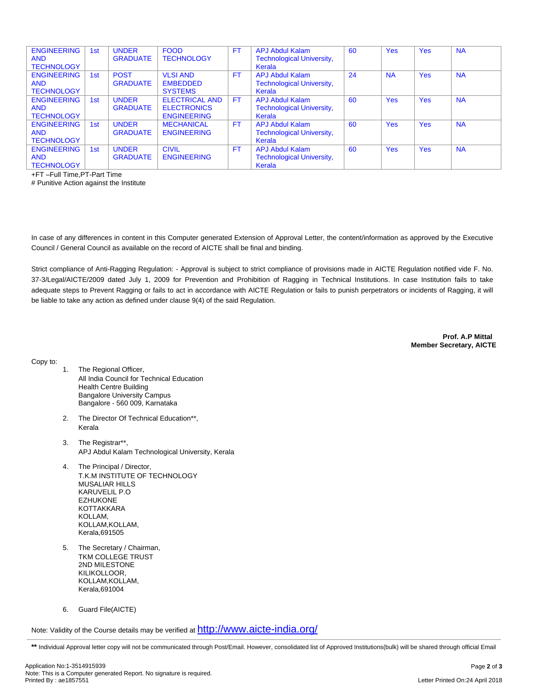| <b>ENGINEERING</b><br><b>AND</b><br><b>TECHNOLOGY</b> | 1st | <b>UNDER</b><br><b>GRADUATE</b> | <b>FOOD</b><br><b>TECHNOLOGY</b>                                  | <b>FT</b> | <b>APJ Abdul Kalam</b><br><b>Technological University,</b><br>Kerala | 60 | <b>Yes</b> | <b>Yes</b> | <b>NA</b> |
|-------------------------------------------------------|-----|---------------------------------|-------------------------------------------------------------------|-----------|----------------------------------------------------------------------|----|------------|------------|-----------|
| <b>ENGINEERING</b><br><b>AND</b><br><b>TECHNOLOGY</b> | 1st | <b>POST</b><br><b>GRADUATE</b>  | <b>VLSI AND</b><br><b>EMBEDDED</b><br><b>SYSTEMS</b>              | <b>FT</b> | <b>APJ Abdul Kalam</b><br><b>Technological University,</b><br>Kerala | 24 | <b>NA</b>  | <b>Yes</b> | <b>NA</b> |
| <b>ENGINEERING</b><br><b>AND</b><br><b>TECHNOLOGY</b> | 1st | <b>UNDER</b><br><b>GRADUATE</b> | <b>ELECTRICAL AND</b><br><b>ELECTRONICS</b><br><b>ENGINEERING</b> | <b>FT</b> | APJ Abdul Kalam<br><b>Technological University,</b><br>Kerala        | 60 | <b>Yes</b> | <b>Yes</b> | <b>NA</b> |
| <b>ENGINEERING</b><br><b>AND</b><br><b>TECHNOLOGY</b> | 1st | <b>UNDER</b><br><b>GRADUATE</b> | <b>MECHANICAL</b><br><b>ENGINEERING</b>                           | <b>FT</b> | <b>APJ Abdul Kalam</b><br><b>Technological University,</b><br>Kerala | 60 | <b>Yes</b> | <b>Yes</b> | <b>NA</b> |
| <b>ENGINEERING</b><br><b>AND</b><br><b>TECHNOLOGY</b> | 1st | <b>UNDER</b><br><b>GRADUATE</b> | <b>CIVIL</b><br><b>ENGINEERING</b>                                | <b>FT</b> | <b>APJ Abdul Kalam</b><br><b>Technological University,</b><br>Kerala | 60 | <b>Yes</b> | <b>Yes</b> | <b>NA</b> |

+FT –Full Time,PT-Part Time

# Punitive Action against the Institute

In case of any differences in content in this Computer generated Extension of Approval Letter, the content/information as approved by the Executive Council / General Council as available on the record of AICTE shall be final and binding.

Strict compliance of Anti-Ragging Regulation: - Approval is subject to strict compliance of provisions made in AICTE Regulation notified vide F. No. 37-3/Legal/AICTE/2009 dated July 1, 2009 for Prevention and Prohibition of Ragging in Technical Institutions. In case Institution fails to take adequate steps to Prevent Ragging or fails to act in accordance with AICTE Regulation or fails to punish perpetrators or incidents of Ragging, it will be liable to take any action as defined under clause 9(4) of the said Regulation.

> **Prof. A.P Mittal Member Secretary, AICTE**

Copy to:

- 1. The Regional Officer, All India Council for Technical Education Health Centre Building Bangalore University Campus Bangalore - 560 009, Karnataka
- 2. The Director Of Technical Education\*\*, Kerala
- 3. The Registrar\*\*, APJ Abdul Kalam Technological University, Kerala
- 4. The Principal / Director, T.K.M INSTITUTE OF TECHNOLOGY MUSALIAR HILLS KARUVELIL P.O EZHUKONE KOTTAKKARA KOLLAM, KOLLAM,KOLLAM, Kerala,691505
- 5. The Secretary / Chairman, TKM COLLEGE TRUST 2ND MILESTONE KILIKOLLOOR, KOLLAM,KOLLAM, Kerala,691004
- 6. Guard File(AICTE)

Note: Validity of the Course details may be verified at <http://www.aicte-india.org/>

\*\* Individual Approval letter copy will not be communicated through Post/Email. However, consolidated list of Approved Institutions(bulk) will be shared through official Email